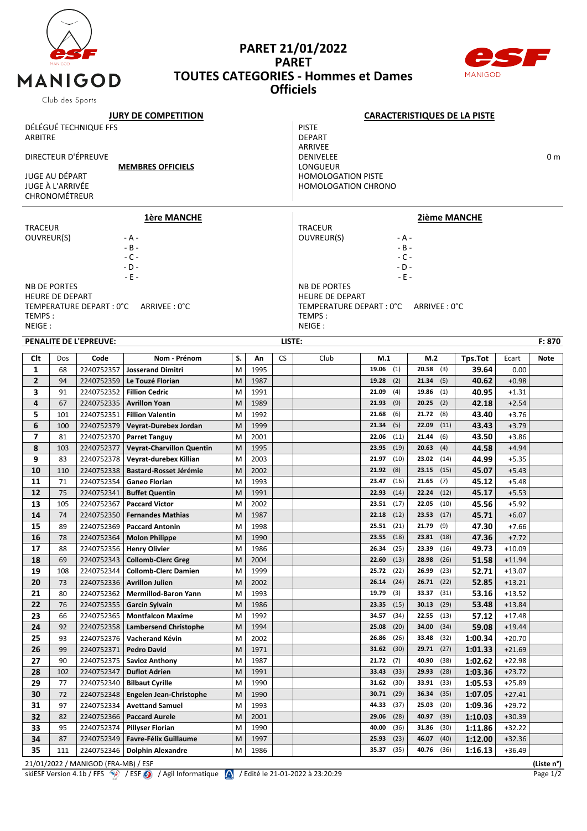

#### **PARET 21/01/2022 PARET TOUTES CATEGORIES - Hommes et Dames Officiels**



|                            | Club des Sports                    |                                     |                                |    |      |           |                                     |                                                                                                                                                                                                                                                                                                                                                                                                                                                                                                                                                                                                                                                                                                                                                                                                                                                                                                                                                                                                                                                                                                                                                                                                                                                                                                                                                                                                                                                                                                                                                |               |         |          |            |  |  |  |  |
|----------------------------|------------------------------------|-------------------------------------|--------------------------------|----|------|-----------|-------------------------------------|------------------------------------------------------------------------------------------------------------------------------------------------------------------------------------------------------------------------------------------------------------------------------------------------------------------------------------------------------------------------------------------------------------------------------------------------------------------------------------------------------------------------------------------------------------------------------------------------------------------------------------------------------------------------------------------------------------------------------------------------------------------------------------------------------------------------------------------------------------------------------------------------------------------------------------------------------------------------------------------------------------------------------------------------------------------------------------------------------------------------------------------------------------------------------------------------------------------------------------------------------------------------------------------------------------------------------------------------------------------------------------------------------------------------------------------------------------------------------------------------------------------------------------------------|---------------|---------|----------|------------|--|--|--|--|
| <b>JURY DE COMPETITION</b> |                                    |                                     |                                |    |      |           | <b>CARACTERISTIQUES DE LA PISTE</b> |                                                                                                                                                                                                                                                                                                                                                                                                                                                                                                                                                                                                                                                                                                                                                                                                                                                                                                                                                                                                                                                                                                                                                                                                                                                                                                                                                                                                                                                                                                                                                |               |         |          |            |  |  |  |  |
|                            |                                    | DÉLÉGUÉ TECHNIQUE FFS               |                                |    |      |           | <b>PISTE</b>                        |                                                                                                                                                                                                                                                                                                                                                                                                                                                                                                                                                                                                                                                                                                                                                                                                                                                                                                                                                                                                                                                                                                                                                                                                                                                                                                                                                                                                                                                                                                                                                |               |         |          |            |  |  |  |  |
| ARBITRE                    |                                    |                                     |                                |    |      |           | <b>DEPART</b>                       |                                                                                                                                                                                                                                                                                                                                                                                                                                                                                                                                                                                                                                                                                                                                                                                                                                                                                                                                                                                                                                                                                                                                                                                                                                                                                                                                                                                                                                                                                                                                                |               |         |          |            |  |  |  |  |
|                            |                                    |                                     |                                |    |      |           | ARRIVEE                             |                                                                                                                                                                                                                                                                                                                                                                                                                                                                                                                                                                                                                                                                                                                                                                                                                                                                                                                                                                                                                                                                                                                                                                                                                                                                                                                                                                                                                                                                                                                                                |               |         |          |            |  |  |  |  |
| DIRECTEUR D'ÉPREUVE        |                                    |                                     |                                |    |      |           | <b>DENIVELEE</b><br>0 m             |                                                                                                                                                                                                                                                                                                                                                                                                                                                                                                                                                                                                                                                                                                                                                                                                                                                                                                                                                                                                                                                                                                                                                                                                                                                                                                                                                                                                                                                                                                                                                |               |         |          |            |  |  |  |  |
|                            |                                    |                                     | <b>MEMBRES OFFICIELS</b>       |    |      |           | LONGUEUR                            |                                                                                                                                                                                                                                                                                                                                                                                                                                                                                                                                                                                                                                                                                                                                                                                                                                                                                                                                                                                                                                                                                                                                                                                                                                                                                                                                                                                                                                                                                                                                                |               |         |          |            |  |  |  |  |
|                            | JUGE AU DÉPART<br>JUGE À L'ARRIVÉE |                                     |                                |    |      |           |                                     |                                                                                                                                                                                                                                                                                                                                                                                                                                                                                                                                                                                                                                                                                                                                                                                                                                                                                                                                                                                                                                                                                                                                                                                                                                                                                                                                                                                                                                                                                                                                                |               |         |          |            |  |  |  |  |
|                            | <b>CHRONOMÉTREUR</b>               |                                     |                                |    |      |           |                                     |                                                                                                                                                                                                                                                                                                                                                                                                                                                                                                                                                                                                                                                                                                                                                                                                                                                                                                                                                                                                                                                                                                                                                                                                                                                                                                                                                                                                                                                                                                                                                |               |         |          |            |  |  |  |  |
|                            |                                    |                                     |                                |    |      |           |                                     |                                                                                                                                                                                                                                                                                                                                                                                                                                                                                                                                                                                                                                                                                                                                                                                                                                                                                                                                                                                                                                                                                                                                                                                                                                                                                                                                                                                                                                                                                                                                                |               |         |          |            |  |  |  |  |
|                            |                                    |                                     | <b>1ère MANCHE</b>             |    |      |           |                                     |                                                                                                                                                                                                                                                                                                                                                                                                                                                                                                                                                                                                                                                                                                                                                                                                                                                                                                                                                                                                                                                                                                                                                                                                                                                                                                                                                                                                                                                                                                                                                |               |         |          |            |  |  |  |  |
| <b>TRACEUR</b>             |                                    |                                     |                                |    |      |           | <b>TRACEUR</b>                      |                                                                                                                                                                                                                                                                                                                                                                                                                                                                                                                                                                                                                                                                                                                                                                                                                                                                                                                                                                                                                                                                                                                                                                                                                                                                                                                                                                                                                                                                                                                                                |               |         |          |            |  |  |  |  |
| OUVREUR(S)                 |                                    |                                     | - A -                          |    |      |           | OUVREUR(S)                          |                                                                                                                                                                                                                                                                                                                                                                                                                                                                                                                                                                                                                                                                                                                                                                                                                                                                                                                                                                                                                                                                                                                                                                                                                                                                                                                                                                                                                                                                                                                                                |               |         |          |            |  |  |  |  |
|                            |                                    |                                     | $- B -$                        |    |      |           |                                     |                                                                                                                                                                                                                                                                                                                                                                                                                                                                                                                                                                                                                                                                                                                                                                                                                                                                                                                                                                                                                                                                                                                                                                                                                                                                                                                                                                                                                                                                                                                                                |               |         |          |            |  |  |  |  |
|                            |                                    |                                     | $-C -$                         |    |      |           |                                     |                                                                                                                                                                                                                                                                                                                                                                                                                                                                                                                                                                                                                                                                                                                                                                                                                                                                                                                                                                                                                                                                                                                                                                                                                                                                                                                                                                                                                                                                                                                                                |               |         |          |            |  |  |  |  |
|                            |                                    |                                     | $-D -$                         |    |      |           |                                     |                                                                                                                                                                                                                                                                                                                                                                                                                                                                                                                                                                                                                                                                                                                                                                                                                                                                                                                                                                                                                                                                                                                                                                                                                                                                                                                                                                                                                                                                                                                                                |               |         |          |            |  |  |  |  |
|                            |                                    |                                     | $-E -$                         |    |      |           |                                     |                                                                                                                                                                                                                                                                                                                                                                                                                                                                                                                                                                                                                                                                                                                                                                                                                                                                                                                                                                                                                                                                                                                                                                                                                                                                                                                                                                                                                                                                                                                                                |               |         |          |            |  |  |  |  |
|                            | <b>NB DE PORTES</b>                |                                     |                                |    |      |           | <b>NB DE PORTES</b>                 |                                                                                                                                                                                                                                                                                                                                                                                                                                                                                                                                                                                                                                                                                                                                                                                                                                                                                                                                                                                                                                                                                                                                                                                                                                                                                                                                                                                                                                                                                                                                                |               |         |          |            |  |  |  |  |
|                            | <b>HEURE DE DEPART</b>             |                                     |                                |    |      |           |                                     |                                                                                                                                                                                                                                                                                                                                                                                                                                                                                                                                                                                                                                                                                                                                                                                                                                                                                                                                                                                                                                                                                                                                                                                                                                                                                                                                                                                                                                                                                                                                                |               |         |          |            |  |  |  |  |
|                            |                                    | TEMPERATURE DEPART : 0°C            | ARRIVEE: 0°C                   |    |      |           |                                     | $-E -$<br><b>HEURE DE DEPART</b><br>TEMPERATURE DEPART : 0°C<br>ARRIVEE: 0°C<br>TEMPS:<br>NEIGE :<br>F: 870<br>Club<br>M.1<br>M.2<br>Tps.Tot<br><b>Note</b><br>Ecart<br>20.58<br>19.06<br>(1)<br>(3)<br>39.64<br>0.00<br>(2)<br>21.34<br>40.62<br>$+0.98$<br>19.28<br>(5)<br>40.95<br>21.09<br>(4)<br>19.86<br>(1)<br>$+1.31$<br>(9)<br>42.18<br>21.93<br>20.25<br>(2)<br>$+2.54$<br>(6)<br>21.72<br>(8)<br>21.68<br>43.40<br>$+3.76$<br>21.34<br>(5)<br>22.09<br>(11)<br>$+3.79$<br>43.43                                                                                                                                                                                                                                                                                                                                                                                                                                                                                                                                                                                                                                                                                                                                                                                                                                                                                                                                                                                                                                                     |               |         |          |            |  |  |  |  |
| TEMPS:                     |                                    |                                     |                                |    |      |           |                                     | <b>HOMOLOGATION PISTE</b><br><b>HOMOLOGATION CHRONO</b><br><b>2ième MANCHE</b><br>- A -<br>$-B -$<br>$-C -$<br>- D -<br>(11)<br>43.50<br>$+3.86$<br>22.06<br>21.44<br>(6)<br>(19)<br>44.58<br>23.95<br>20.63<br>(4)<br>$+4.94$<br>(10)<br>21.97<br>23.02<br>(14)<br>44.99<br>$+5.35$<br>(8)<br>21.92<br>23.15<br>(15)<br>45.07<br>$+5.43$<br>(16)<br>23.47<br>21.65<br>45.12<br>$+5.48$<br>(7)<br>45.17<br>(14)<br>22.24<br>(12)<br>$+5.53$<br>22.93<br>(17)<br>22.05<br>(10)<br>45.56<br>$+5.92$<br>23.51<br>(12)<br>23.53<br>(17)<br>22.18<br>45.71<br>$+6.07$<br>25.51<br>(21)<br>21.79<br>47.30<br>(9)<br>$+7.66$<br>47.36<br>$+7.72$<br>$23.55$ (18)<br>$23.81$ (18)<br>(25)<br>26.34<br>23.39<br>(16)<br>49.73<br>$+10.09$<br>22.60<br>(13)<br>28.98<br>(26)<br>51.58<br>$+11.94$<br>26.99<br>25.72<br>(22)<br>(23)<br>52.71<br>$+13.07$<br>(24)<br>26.71<br>52.85<br>26.14<br>(22)<br>$+13.21$<br>(3)<br>33.37<br>53.16<br>19.79<br>(31)<br>$+13.52$<br>(15)<br>23.35<br>30.13<br>(29)<br>53.48<br>$+13.84$<br>(34)<br>22.55<br>(13)<br>34.57<br>57.12<br>$+17.48$<br>(20)<br>34.00<br>59.08<br>$+19.44$<br>25.08<br>(34)<br>(26)<br>1:00.34<br>$+20.70$<br>26.86<br>33.48<br>(32)<br>(30)<br>29.71<br>(27)<br>$+21.69$<br>31.62<br>1:01.33<br>(7)<br>(38)<br>1:02.62<br>21.72<br>40.90<br>$+22.98$<br>33.43<br>(33)<br>29.93<br>(28)<br>$+23.72$<br>1:03.36<br>33.91<br>1:05.53<br>$+25.89$<br>31.62<br>(30)<br>(33)<br>36.34<br>30.71<br>(29)<br>(35)<br>1:07.05<br>$+27.41$<br>(37)<br>1:09.36<br>44.33<br>25.03<br>(20)<br>$+29.72$ |               |         |          |            |  |  |  |  |
| NEIGE :                    |                                    |                                     |                                |    |      |           |                                     |                                                                                                                                                                                                                                                                                                                                                                                                                                                                                                                                                                                                                                                                                                                                                                                                                                                                                                                                                                                                                                                                                                                                                                                                                                                                                                                                                                                                                                                                                                                                                |               |         |          |            |  |  |  |  |
|                            |                                    | PENALITE DE L'EPREUVE:              |                                |    |      | LISTE:    |                                     |                                                                                                                                                                                                                                                                                                                                                                                                                                                                                                                                                                                                                                                                                                                                                                                                                                                                                                                                                                                                                                                                                                                                                                                                                                                                                                                                                                                                                                                                                                                                                |               |         |          |            |  |  |  |  |
| Clt                        | Dos                                | Code                                | Nom - Prénom                   | S. | An   | <b>CS</b> |                                     |                                                                                                                                                                                                                                                                                                                                                                                                                                                                                                                                                                                                                                                                                                                                                                                                                                                                                                                                                                                                                                                                                                                                                                                                                                                                                                                                                                                                                                                                                                                                                |               |         |          |            |  |  |  |  |
| 1                          | 68                                 | 2240752357                          | <b>Josserand Dimitri</b>       | M  | 1995 |           |                                     |                                                                                                                                                                                                                                                                                                                                                                                                                                                                                                                                                                                                                                                                                                                                                                                                                                                                                                                                                                                                                                                                                                                                                                                                                                                                                                                                                                                                                                                                                                                                                |               |         |          |            |  |  |  |  |
| $\overline{2}$             | 94                                 | 2240752359                          | Le Touzé Florian               | M  | 1987 |           |                                     |                                                                                                                                                                                                                                                                                                                                                                                                                                                                                                                                                                                                                                                                                                                                                                                                                                                                                                                                                                                                                                                                                                                                                                                                                                                                                                                                                                                                                                                                                                                                                |               |         |          |            |  |  |  |  |
| 3                          | 91                                 | 2240752352                          | <b>Fillion Cedric</b>          | M  | 1991 |           |                                     |                                                                                                                                                                                                                                                                                                                                                                                                                                                                                                                                                                                                                                                                                                                                                                                                                                                                                                                                                                                                                                                                                                                                                                                                                                                                                                                                                                                                                                                                                                                                                |               |         |          |            |  |  |  |  |
| 4                          | 67                                 | 2240752335                          | <b>Avrillon Yoan</b>           | M  | 1989 |           |                                     |                                                                                                                                                                                                                                                                                                                                                                                                                                                                                                                                                                                                                                                                                                                                                                                                                                                                                                                                                                                                                                                                                                                                                                                                                                                                                                                                                                                                                                                                                                                                                |               |         |          |            |  |  |  |  |
| 5                          | 101                                | 2240752351                          | <b>Fillion Valentin</b>        | M  | 1992 |           |                                     |                                                                                                                                                                                                                                                                                                                                                                                                                                                                                                                                                                                                                                                                                                                                                                                                                                                                                                                                                                                                                                                                                                                                                                                                                                                                                                                                                                                                                                                                                                                                                |               |         |          |            |  |  |  |  |
| 6                          | 100                                | 2240752379                          | Veyrat-Durebex Jordan          | M  | 1999 |           |                                     |                                                                                                                                                                                                                                                                                                                                                                                                                                                                                                                                                                                                                                                                                                                                                                                                                                                                                                                                                                                                                                                                                                                                                                                                                                                                                                                                                                                                                                                                                                                                                |               |         |          |            |  |  |  |  |
| $\overline{\phantom{a}}$   | 81                                 | 2240752370                          | <b>Parret Tanguy</b>           | M  | 2001 |           |                                     |                                                                                                                                                                                                                                                                                                                                                                                                                                                                                                                                                                                                                                                                                                                                                                                                                                                                                                                                                                                                                                                                                                                                                                                                                                                                                                                                                                                                                                                                                                                                                |               |         |          |            |  |  |  |  |
| 8                          | 103                                | 2240752377                          | Veyrat-Charvillon Quentin      | M  | 1995 |           |                                     |                                                                                                                                                                                                                                                                                                                                                                                                                                                                                                                                                                                                                                                                                                                                                                                                                                                                                                                                                                                                                                                                                                                                                                                                                                                                                                                                                                                                                                                                                                                                                |               |         |          |            |  |  |  |  |
| 9                          | 83                                 | 2240752378                          | Veyrat-durebex Killian         | M  | 2003 |           |                                     |                                                                                                                                                                                                                                                                                                                                                                                                                                                                                                                                                                                                                                                                                                                                                                                                                                                                                                                                                                                                                                                                                                                                                                                                                                                                                                                                                                                                                                                                                                                                                |               |         |          |            |  |  |  |  |
| 10                         | 110                                | 2240752338                          | <b>Bastard-Rosset Jérémie</b>  | M  | 2002 |           |                                     |                                                                                                                                                                                                                                                                                                                                                                                                                                                                                                                                                                                                                                                                                                                                                                                                                                                                                                                                                                                                                                                                                                                                                                                                                                                                                                                                                                                                                                                                                                                                                |               |         |          |            |  |  |  |  |
| 11                         | 71                                 | 2240752354                          | <b>Ganeo Florian</b>           | M  | 1993 |           |                                     |                                                                                                                                                                                                                                                                                                                                                                                                                                                                                                                                                                                                                                                                                                                                                                                                                                                                                                                                                                                                                                                                                                                                                                                                                                                                                                                                                                                                                                                                                                                                                |               |         |          |            |  |  |  |  |
| 12                         | 75                                 | 2240752341                          | <b>Buffet Quentin</b>          | M  | 1991 |           |                                     |                                                                                                                                                                                                                                                                                                                                                                                                                                                                                                                                                                                                                                                                                                                                                                                                                                                                                                                                                                                                                                                                                                                                                                                                                                                                                                                                                                                                                                                                                                                                                |               |         |          |            |  |  |  |  |
| 13                         | 105                                | 2240752367                          | <b>Paccard Victor</b>          | M  | 2002 |           |                                     |                                                                                                                                                                                                                                                                                                                                                                                                                                                                                                                                                                                                                                                                                                                                                                                                                                                                                                                                                                                                                                                                                                                                                                                                                                                                                                                                                                                                                                                                                                                                                |               |         |          |            |  |  |  |  |
| 14                         | 74                                 | 2240752350                          | <b>Fernandes Mathias</b>       | M  | 1987 |           |                                     |                                                                                                                                                                                                                                                                                                                                                                                                                                                                                                                                                                                                                                                                                                                                                                                                                                                                                                                                                                                                                                                                                                                                                                                                                                                                                                                                                                                                                                                                                                                                                |               |         |          |            |  |  |  |  |
| 15                         | 89                                 | 2240752369                          | <b>Paccard Antonin</b>         | M  | 1998 |           |                                     |                                                                                                                                                                                                                                                                                                                                                                                                                                                                                                                                                                                                                                                                                                                                                                                                                                                                                                                                                                                                                                                                                                                                                                                                                                                                                                                                                                                                                                                                                                                                                |               |         |          |            |  |  |  |  |
| 16                         | 78                                 |                                     | 2240752364   Molon Philippe    | M  | 1990 |           |                                     |                                                                                                                                                                                                                                                                                                                                                                                                                                                                                                                                                                                                                                                                                                                                                                                                                                                                                                                                                                                                                                                                                                                                                                                                                                                                                                                                                                                                                                                                                                                                                |               |         |          |            |  |  |  |  |
| 17                         | 88                                 | 2240752356                          | <b>Henry Olivier</b>           | M  | 1986 |           |                                     |                                                                                                                                                                                                                                                                                                                                                                                                                                                                                                                                                                                                                                                                                                                                                                                                                                                                                                                                                                                                                                                                                                                                                                                                                                                                                                                                                                                                                                                                                                                                                |               |         |          |            |  |  |  |  |
| 18                         | 69                                 | 2240752343                          | <b>Collomb-Clerc Greg</b>      | M  | 2004 |           |                                     |                                                                                                                                                                                                                                                                                                                                                                                                                                                                                                                                                                                                                                                                                                                                                                                                                                                                                                                                                                                                                                                                                                                                                                                                                                                                                                                                                                                                                                                                                                                                                |               |         |          |            |  |  |  |  |
| 19                         | 108                                | 2240752344                          | <b>Collomb-Clerc Damien</b>    | M  | 1999 |           |                                     |                                                                                                                                                                                                                                                                                                                                                                                                                                                                                                                                                                                                                                                                                                                                                                                                                                                                                                                                                                                                                                                                                                                                                                                                                                                                                                                                                                                                                                                                                                                                                |               |         |          |            |  |  |  |  |
| 20                         | 73                                 | 2240752336                          | <b>Avrillon Julien</b>         | M  | 2002 |           |                                     |                                                                                                                                                                                                                                                                                                                                                                                                                                                                                                                                                                                                                                                                                                                                                                                                                                                                                                                                                                                                                                                                                                                                                                                                                                                                                                                                                                                                                                                                                                                                                |               |         |          |            |  |  |  |  |
| 21                         | 80                                 | 2240752362                          | Mermillod-Baron Yann           | M  | 1993 |           |                                     |                                                                                                                                                                                                                                                                                                                                                                                                                                                                                                                                                                                                                                                                                                                                                                                                                                                                                                                                                                                                                                                                                                                                                                                                                                                                                                                                                                                                                                                                                                                                                |               |         |          |            |  |  |  |  |
| 22                         | 76                                 | 2240752355                          |                                | M  | 1986 |           |                                     |                                                                                                                                                                                                                                                                                                                                                                                                                                                                                                                                                                                                                                                                                                                                                                                                                                                                                                                                                                                                                                                                                                                                                                                                                                                                                                                                                                                                                                                                                                                                                |               |         |          |            |  |  |  |  |
|                            |                                    |                                     | Garcin Sylvain                 | M  |      |           |                                     |                                                                                                                                                                                                                                                                                                                                                                                                                                                                                                                                                                                                                                                                                                                                                                                                                                                                                                                                                                                                                                                                                                                                                                                                                                                                                                                                                                                                                                                                                                                                                |               |         |          |            |  |  |  |  |
| 23                         | 66                                 | 2240752365                          | <b>Montfalcon Maxime</b>       |    | 1992 |           |                                     |                                                                                                                                                                                                                                                                                                                                                                                                                                                                                                                                                                                                                                                                                                                                                                                                                                                                                                                                                                                                                                                                                                                                                                                                                                                                                                                                                                                                                                                                                                                                                |               |         |          |            |  |  |  |  |
| 24                         | 92                                 | 2240752358                          | <b>Lambersend Christophe</b>   | M  | 1994 |           |                                     |                                                                                                                                                                                                                                                                                                                                                                                                                                                                                                                                                                                                                                                                                                                                                                                                                                                                                                                                                                                                                                                                                                                                                                                                                                                                                                                                                                                                                                                                                                                                                |               |         |          |            |  |  |  |  |
| 25                         | 93                                 | 2240752376                          | Vacherand Kévin                | M  | 2002 |           |                                     |                                                                                                                                                                                                                                                                                                                                                                                                                                                                                                                                                                                                                                                                                                                                                                                                                                                                                                                                                                                                                                                                                                                                                                                                                                                                                                                                                                                                                                                                                                                                                |               |         |          |            |  |  |  |  |
| 26                         | 99                                 | 2240752371                          | <b>Pedro David</b>             | M  | 1971 |           |                                     |                                                                                                                                                                                                                                                                                                                                                                                                                                                                                                                                                                                                                                                                                                                                                                                                                                                                                                                                                                                                                                                                                                                                                                                                                                                                                                                                                                                                                                                                                                                                                |               |         |          |            |  |  |  |  |
| 27                         | 90                                 | 2240752375                          | <b>Savioz Anthony</b>          | M  | 1987 |           |                                     |                                                                                                                                                                                                                                                                                                                                                                                                                                                                                                                                                                                                                                                                                                                                                                                                                                                                                                                                                                                                                                                                                                                                                                                                                                                                                                                                                                                                                                                                                                                                                |               |         |          |            |  |  |  |  |
| 28                         | 102                                | 2240752347                          | <b>Duflot Adrien</b>           | M  | 1991 |           |                                     |                                                                                                                                                                                                                                                                                                                                                                                                                                                                                                                                                                                                                                                                                                                                                                                                                                                                                                                                                                                                                                                                                                                                                                                                                                                                                                                                                                                                                                                                                                                                                |               |         |          |            |  |  |  |  |
| 29                         | 77                                 | 2240752340                          | <b>Bilbaut Cyrille</b>         | M  | 1990 |           |                                     |                                                                                                                                                                                                                                                                                                                                                                                                                                                                                                                                                                                                                                                                                                                                                                                                                                                                                                                                                                                                                                                                                                                                                                                                                                                                                                                                                                                                                                                                                                                                                |               |         |          |            |  |  |  |  |
| 30                         | 72                                 | 2240752348                          | <b>Engelen Jean-Christophe</b> | M  | 1990 |           |                                     |                                                                                                                                                                                                                                                                                                                                                                                                                                                                                                                                                                                                                                                                                                                                                                                                                                                                                                                                                                                                                                                                                                                                                                                                                                                                                                                                                                                                                                                                                                                                                |               |         |          |            |  |  |  |  |
| 31                         | 97                                 | 2240752334                          | <b>Avettand Samuel</b>         | M  | 1993 |           |                                     |                                                                                                                                                                                                                                                                                                                                                                                                                                                                                                                                                                                                                                                                                                                                                                                                                                                                                                                                                                                                                                                                                                                                                                                                                                                                                                                                                                                                                                                                                                                                                |               |         |          |            |  |  |  |  |
| 32                         | 82                                 | 2240752366                          | <b>Paccard Aurele</b>          | M  | 2001 |           |                                     | (28)<br>29.06                                                                                                                                                                                                                                                                                                                                                                                                                                                                                                                                                                                                                                                                                                                                                                                                                                                                                                                                                                                                                                                                                                                                                                                                                                                                                                                                                                                                                                                                                                                                  | 40.97<br>(39) | 1:10.03 | $+30.39$ |            |  |  |  |  |
| 33                         | 95                                 | 2240752374                          | <b>Pillyser Florian</b>        | M  | 1990 |           |                                     | (36)<br>40.00                                                                                                                                                                                                                                                                                                                                                                                                                                                                                                                                                                                                                                                                                                                                                                                                                                                                                                                                                                                                                                                                                                                                                                                                                                                                                                                                                                                                                                                                                                                                  | (30)<br>31.86 | 1:11.86 | $+32.22$ |            |  |  |  |  |
| 34                         | 87                                 | 2240752349                          | Favre-Félix Guillaume          | M  | 1997 |           |                                     | (23)<br>25.93                                                                                                                                                                                                                                                                                                                                                                                                                                                                                                                                                                                                                                                                                                                                                                                                                                                                                                                                                                                                                                                                                                                                                                                                                                                                                                                                                                                                                                                                                                                                  | 46.07<br>(40) | 1:12.00 | $+32.36$ |            |  |  |  |  |
| 35                         | 111                                | 2240752346                          | <b>Dolphin Alexandre</b>       | M  | 1986 |           |                                     | (35)<br>35.37                                                                                                                                                                                                                                                                                                                                                                                                                                                                                                                                                                                                                                                                                                                                                                                                                                                                                                                                                                                                                                                                                                                                                                                                                                                                                                                                                                                                                                                                                                                                  | 40.76<br>(36) | 1:16.13 | $+36.49$ |            |  |  |  |  |
|                            |                                    | 21/01/2022 / MANIGOD (FRA-MB) / ESF |                                |    |      |           |                                     |                                                                                                                                                                                                                                                                                                                                                                                                                                                                                                                                                                                                                                                                                                                                                                                                                                                                                                                                                                                                                                                                                                                                                                                                                                                                                                                                                                                                                                                                                                                                                |               |         |          | (Liste n°) |  |  |  |  |

skiESF Version 4.1b / FFS  $\langle \cdot \rangle$  / ESF  $\langle \cdot \rangle$  / Agil Informatique  $\langle \cdot \rangle$  / Edité le 21-01-2022 à 23:20:29